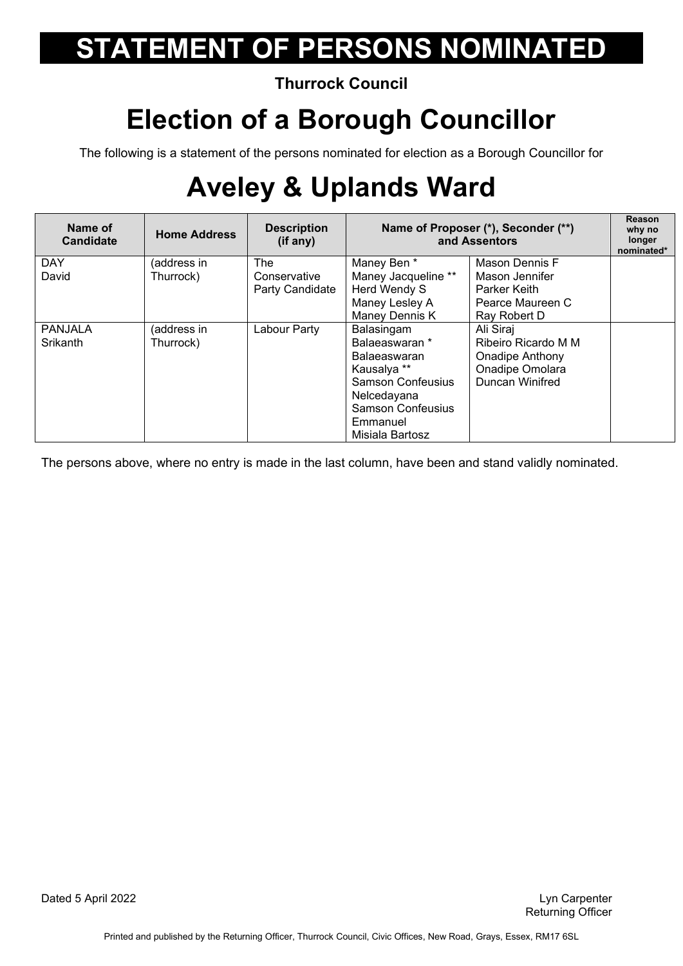#### **Thurrock Council**

### **Election of a Borough Councillor**

The following is a statement of the persons nominated for election as a Borough Councillor for

## **Aveley & Uplands Ward**

| Name of<br><b>Candidate</b> | <b>Home Address</b> | <b>Description</b><br>(if any) | Name of Proposer (*), Seconder (**)<br>and Assentors |                     | Reason<br>why no<br>longer<br>nominated* |
|-----------------------------|---------------------|--------------------------------|------------------------------------------------------|---------------------|------------------------------------------|
| <b>DAY</b>                  | (address in         | <b>The</b>                     | Maney Ben *                                          | Mason Dennis F      |                                          |
| David                       | Thurrock)           | Conservative                   | Maney Jacqueline **                                  | Mason Jennifer      |                                          |
|                             |                     | Party Candidate                | Herd Wendy S                                         | Parker Keith        |                                          |
|                             |                     |                                | Maney Lesley A                                       | Pearce Maureen C    |                                          |
|                             |                     |                                | Maney Dennis K                                       | Ray Robert D        |                                          |
| <b>PANJALA</b>              | (address in         | Labour Party                   | Balasingam                                           | Ali Siraj           |                                          |
| Srikanth                    | Thurrock)           |                                | Balaeaswaran *                                       | Ribeiro Ricardo M M |                                          |
|                             |                     |                                | <b>Balaeaswaran</b>                                  | Onadipe Anthony     |                                          |
|                             |                     |                                | Kausalya **                                          | Onadipe Omolara     |                                          |
|                             |                     |                                | <b>Samson Confeusius</b>                             | Duncan Winifred     |                                          |
|                             |                     |                                | Nelcedayana                                          |                     |                                          |
|                             |                     |                                | <b>Samson Confeusius</b>                             |                     |                                          |
|                             |                     |                                | Emmanuel                                             |                     |                                          |
|                             |                     |                                | Misiala Bartosz                                      |                     |                                          |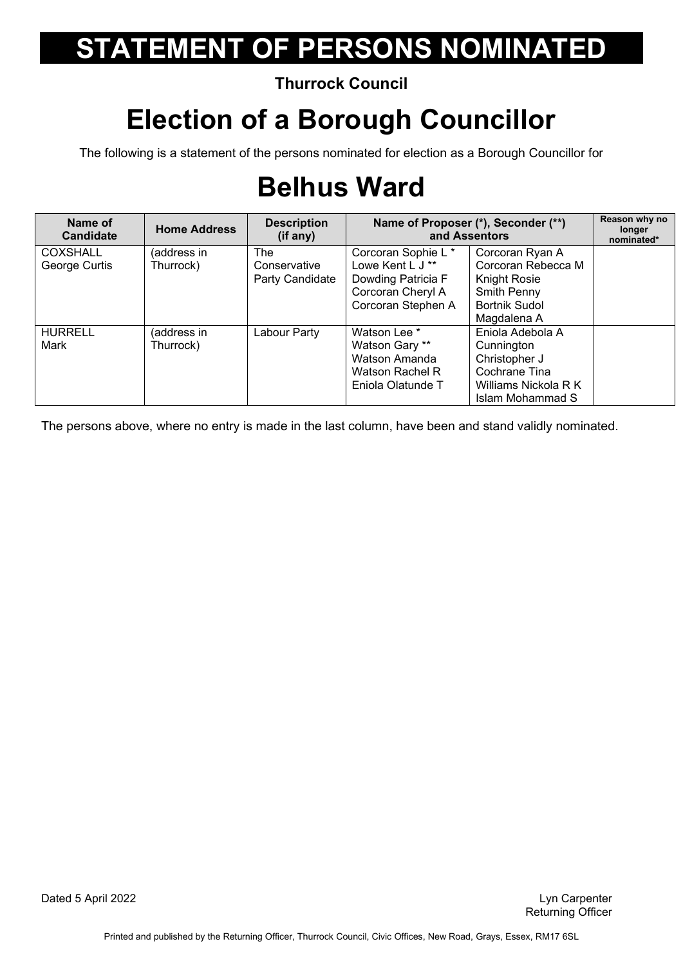**Thurrock Council** 

### **Election of a Borough Councillor**

The following is a statement of the persons nominated for election as a Borough Councillor for

## **Belhus Ward**

| Name of<br><b>Candidate</b> | <b>Home Address</b>      | <b>Description</b><br>(if any)         | Name of Proposer (*), Seconder (**)<br>and Assentors                                                     |                                                                                                                             | Reason why no<br>longer<br>nominated* |
|-----------------------------|--------------------------|----------------------------------------|----------------------------------------------------------------------------------------------------------|-----------------------------------------------------------------------------------------------------------------------------|---------------------------------------|
| COXSHALL<br>George Curtis   | (address in<br>Thurrock) | The<br>Conservative<br>Party Candidate | Corcoran Sophie L *<br>Lowe Kent L J **<br>Dowding Patricia F<br>Corcoran Cheryl A<br>Corcoran Stephen A | Corcoran Ryan A<br>Corcoran Rebecca M<br><b>Knight Rosie</b><br>Smith Penny<br><b>Bortnik Sudol</b>                         |                                       |
| <b>HURRELL</b><br>Mark      | (address in<br>Thurrock) | Labour Party                           | Watson Lee *<br>Watson Gary **<br>Watson Amanda<br>Watson Rachel R<br>Eniola Olatunde T                  | Magdalena A<br>Eniola Adebola A<br>Cunnington<br>Christopher J<br>Cochrane Tina<br>Williams Nickola R K<br>Islam Mohammad S |                                       |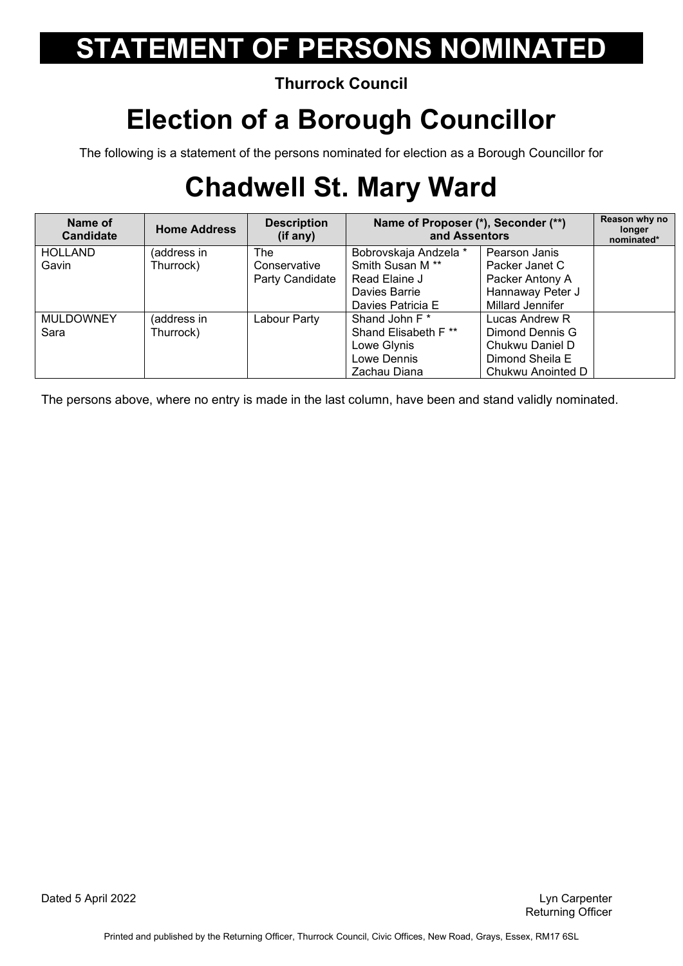#### **Thurrock Council**

### **Election of a Borough Councillor**

The following is a statement of the persons nominated for election as a Borough Councillor for

## **Chadwell St. Mary Ward**

| Name of<br><b>Candidate</b> | <b>Home Address</b> | <b>Description</b><br>(if any) | Name of Proposer (*), Seconder (**)<br>and Assentors |                   | Reason why no<br>longer<br>nominated* |
|-----------------------------|---------------------|--------------------------------|------------------------------------------------------|-------------------|---------------------------------------|
| <b>HOLLAND</b>              | (address in         | <b>The</b>                     | Bobrovskaja Andzela *                                | Pearson Janis     |                                       |
| Gavin                       | Thurrock)           | Conservative                   | Smith Susan M <sup>**</sup>                          | Packer Janet C    |                                       |
|                             |                     | Party Candidate                | Read Elaine J                                        | Packer Antony A   |                                       |
|                             |                     |                                | Davies Barrie                                        | Hannaway Peter J  |                                       |
|                             |                     |                                | Davies Patricia E                                    | Millard Jennifer  |                                       |
| <b>MULDOWNEY</b>            | (address in         | Labour Party                   | Shand John F <sup>*</sup>                            | Lucas Andrew R    |                                       |
| Sara                        | Thurrock)           |                                | Shand Elisabeth F **                                 | Dimond Dennis G   |                                       |
|                             |                     |                                | Lowe Glynis                                          | Chukwu Daniel D   |                                       |
|                             |                     |                                | Lowe Dennis                                          | Dimond Sheila E   |                                       |
|                             |                     |                                | Zachau Diana                                         | Chukwu Anointed D |                                       |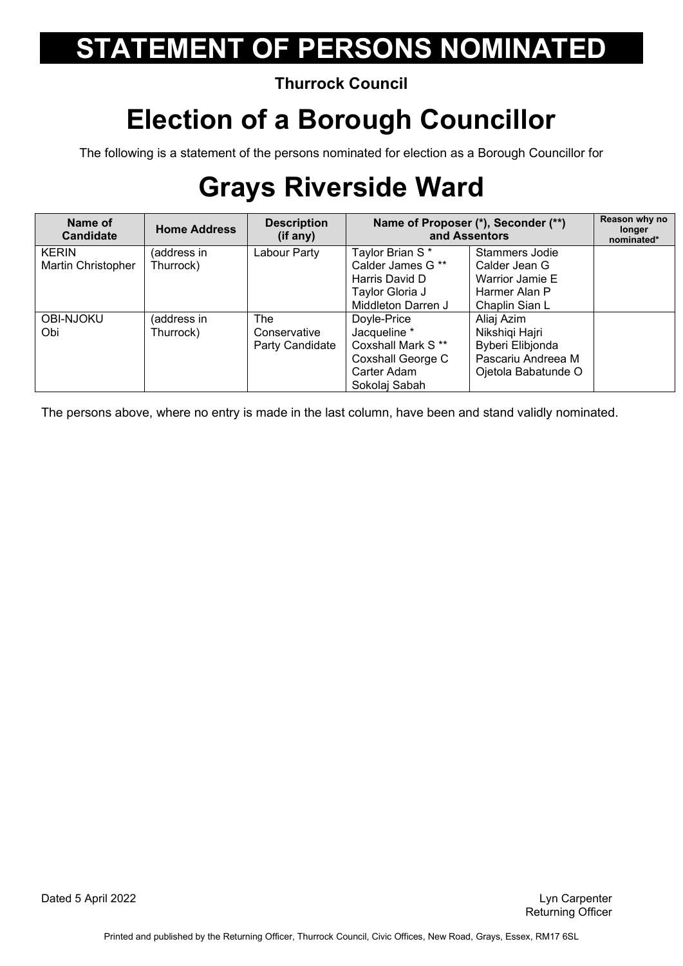#### **Thurrock Council**

### **Election of a Borough Councillor**

The following is a statement of the persons nominated for election as a Borough Councillor for

## **Grays Riverside Ward**

| Name of<br><b>Candidate</b> | <b>Home Address</b> | <b>Description</b><br>(if any) | Name of Proposer (*), Seconder (**)<br>and Assentors |                     | Reason why no<br>longer<br>nominated* |
|-----------------------------|---------------------|--------------------------------|------------------------------------------------------|---------------------|---------------------------------------|
| <b>KERIN</b>                | (address in         | Labour Party                   | Taylor Brian S*                                      | Stammers Jodie      |                                       |
| Martin Christopher          | Thurrock)           |                                | Calder James G **                                    | Calder Jean G       |                                       |
|                             |                     |                                | Harris David D                                       | Warrior Jamie E     |                                       |
|                             |                     |                                | Taylor Gloria J                                      | Harmer Alan P       |                                       |
|                             |                     |                                | Middleton Darren J                                   | Chaplin Sian L      |                                       |
| <b>OBI-NJOKU</b>            | (address in         | The                            | Doyle-Price                                          | Aliaj Azim          |                                       |
| Obi                         | Thurrock)           | Conservative                   | Jacqueline *                                         | Nikshiqi Hajri      |                                       |
|                             |                     | Party Candidate                | Coxshall Mark S <sup>**</sup>                        | Byberi Elibjonda    |                                       |
|                             |                     |                                | Coxshall George C                                    | Pascariu Andreea M  |                                       |
|                             |                     |                                | Carter Adam                                          | Ojetola Babatunde O |                                       |
|                             |                     |                                | Sokolaj Sabah                                        |                     |                                       |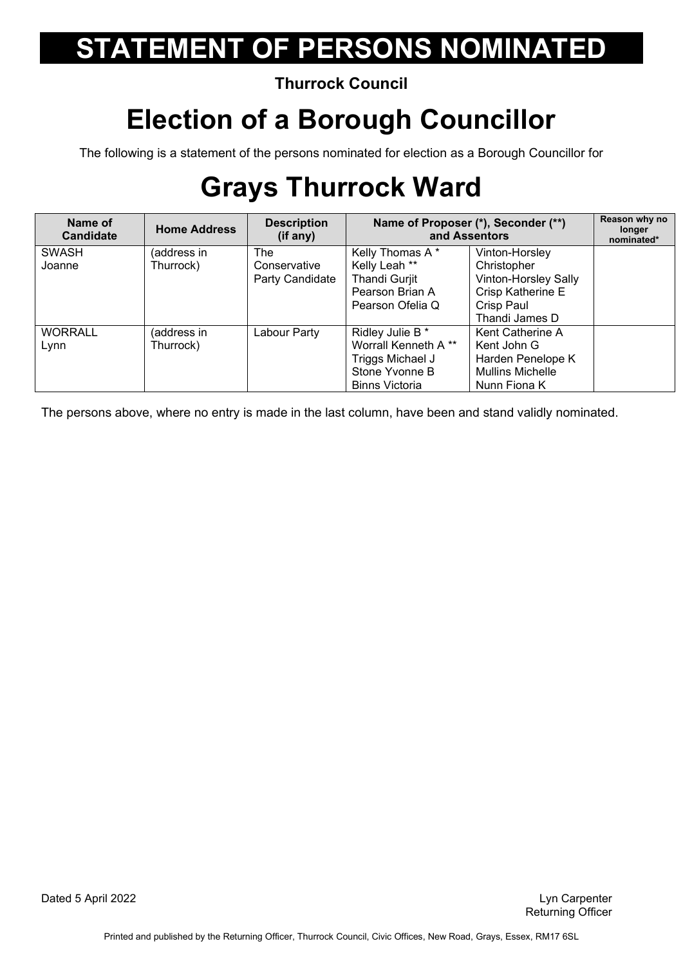#### **Thurrock Council**

### **Election of a Borough Councillor**

The following is a statement of the persons nominated for election as a Borough Councillor for

## **Grays Thurrock Ward**

| Name of<br><b>Candidate</b> | <b>Home Address</b>      | <b>Description</b><br>(if any) | Name of Proposer (*), Seconder (**)<br>and Assentors |                                                  | Reason why no<br>longer<br>nominated* |
|-----------------------------|--------------------------|--------------------------------|------------------------------------------------------|--------------------------------------------------|---------------------------------------|
| <b>SWASH</b><br>Joanne      | (address in<br>Thurrock) | <b>The</b><br>Conservative     | Kelly Thomas A*<br>Kelly Leah **                     | Vinton-Horsley<br>Christopher                    |                                       |
|                             |                          | Party Candidate                | <b>Thandi Gurjit</b><br>Pearson Brian A              | Vinton-Horsley Sally<br><b>Crisp Katherine E</b> |                                       |
|                             |                          |                                | Pearson Ofelia Q                                     | Crisp Paul<br>Thandi James D                     |                                       |
| <b>WORRALL</b>              | (address in              | Labour Party                   | Ridley Julie B *                                     | Kent Catherine A                                 |                                       |
| Lynn                        | Thurrock)                |                                | Worrall Kenneth A **                                 | Kent John G                                      |                                       |
|                             |                          |                                | Triggs Michael J                                     | Harden Penelope K                                |                                       |
|                             |                          |                                | Stone Yvonne B                                       | <b>Mullins Michelle</b>                          |                                       |
|                             |                          |                                | <b>Binns Victoria</b>                                | Nunn Fiona K                                     |                                       |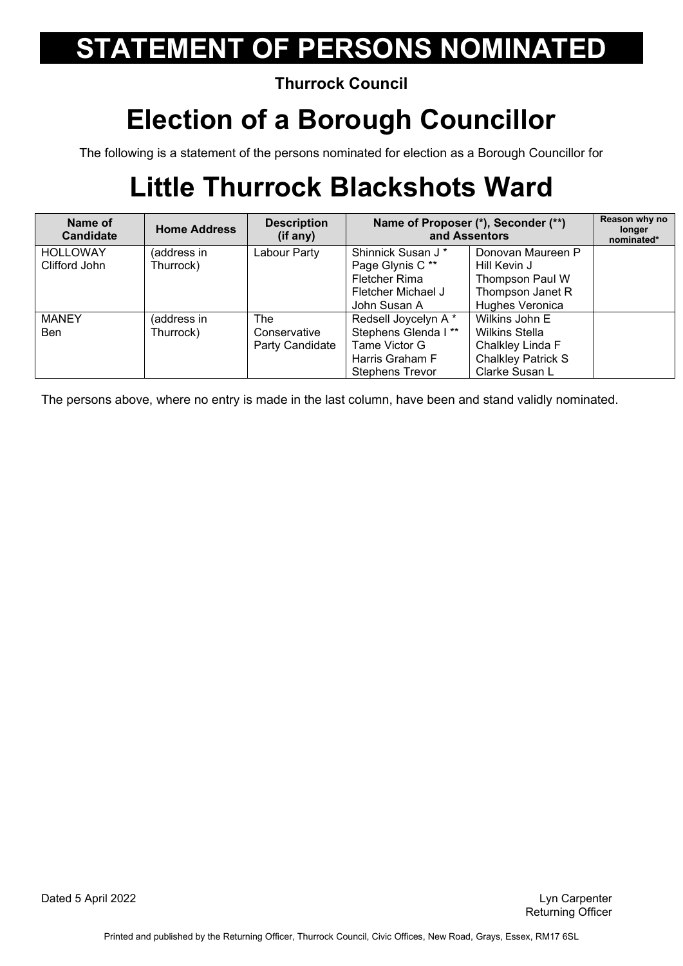**Thurrock Council** 

### **Election of a Borough Councillor**

The following is a statement of the persons nominated for election as a Borough Councillor for

## **Little Thurrock Blackshots Ward**

| Name of<br><b>Candidate</b> | <b>Home Address</b> | <b>Description</b><br>(if any) | Name of Proposer (*), Seconder (**)<br>and Assentors |                           | Reason why no<br>longer<br>nominated* |
|-----------------------------|---------------------|--------------------------------|------------------------------------------------------|---------------------------|---------------------------------------|
| <b>HOLLOWAY</b>             | (address in         | Labour Party                   | Shinnick Susan J <sup>*</sup>                        | Donovan Maureen P         |                                       |
| Clifford John               | Thurrock)           |                                | Page Glynis C**                                      | Hill Kevin J              |                                       |
|                             |                     |                                | Fletcher Rima                                        | Thompson Paul W           |                                       |
|                             |                     |                                | Fletcher Michael J                                   | Thompson Janet R          |                                       |
|                             |                     |                                | John Susan A                                         | Hughes Veronica           |                                       |
| <b>MANEY</b>                | (address in         | The                            | Redsell Joycelyn A*                                  | Wilkins John E            |                                       |
| <b>Ben</b>                  | Thurrock)           | Conservative                   | Stephens Glenda I**                                  | <b>Wilkins Stella</b>     |                                       |
|                             |                     | Party Candidate                | Tame Victor G                                        | Chalkley Linda F          |                                       |
|                             |                     |                                | Harris Graham F                                      | <b>Chalkley Patrick S</b> |                                       |
|                             |                     |                                | <b>Stephens Trevor</b>                               | Clarke Susan L            |                                       |

The persons above, where no entry is made in the last column, have been and stand validly nominated.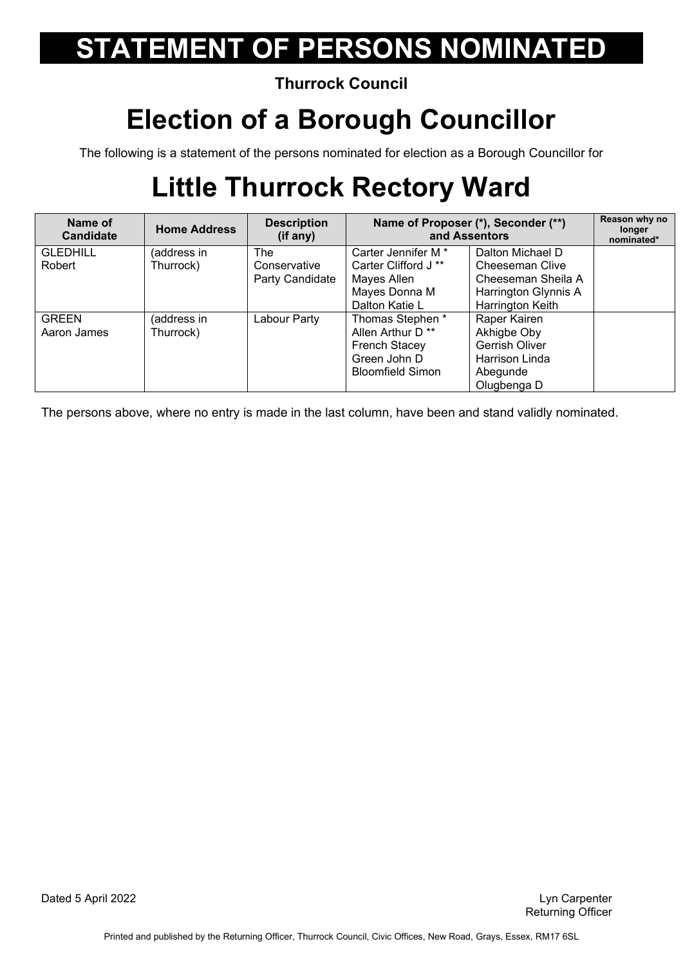#### **Thurrock Council**

### **Election of a Borough Councillor**

The following is a statement of the persons nominated for election as a Borough Councillor for

## **Little Thurrock Rectory Ward**

| Name of<br><b>Candidate</b> | <b>Home Address</b> | <b>Description</b><br>(if any) | Name of Proposer (*), Seconder (**)<br>and Assentors |                      | Reason why no<br>longer<br>nominated* |
|-----------------------------|---------------------|--------------------------------|------------------------------------------------------|----------------------|---------------------------------------|
| <b>GLEDHILL</b>             | (address in         | The                            | Carter Jennifer M <sup>*</sup>                       | Dalton Michael D     |                                       |
| Robert                      | Thurrock)           | Conservative                   | Carter Clifford J **                                 | Cheeseman Clive      |                                       |
|                             |                     | Party Candidate                | Mayes Allen                                          | Cheeseman Sheila A   |                                       |
|                             |                     |                                | Mayes Donna M                                        | Harrington Glynnis A |                                       |
|                             |                     |                                | Dalton Katie L                                       | Harrington Keith     |                                       |
| <b>GREEN</b>                | (address in         | Labour Party                   | Thomas Stephen *                                     | Raper Kairen         |                                       |
| Aaron James                 | Thurrock)           |                                | Allen Arthur D <sup>**</sup>                         | Akhigbe Oby          |                                       |
|                             |                     |                                | <b>French Stacey</b>                                 | Gerrish Oliver       |                                       |
|                             |                     |                                | Green John D                                         | Harrison Linda       |                                       |
|                             |                     |                                | <b>Bloomfield Simon</b>                              | Abegunde             |                                       |
|                             |                     |                                |                                                      | Olugbenga D          |                                       |

The persons above, where no entry is made in the last column, have been and stand validly nominated.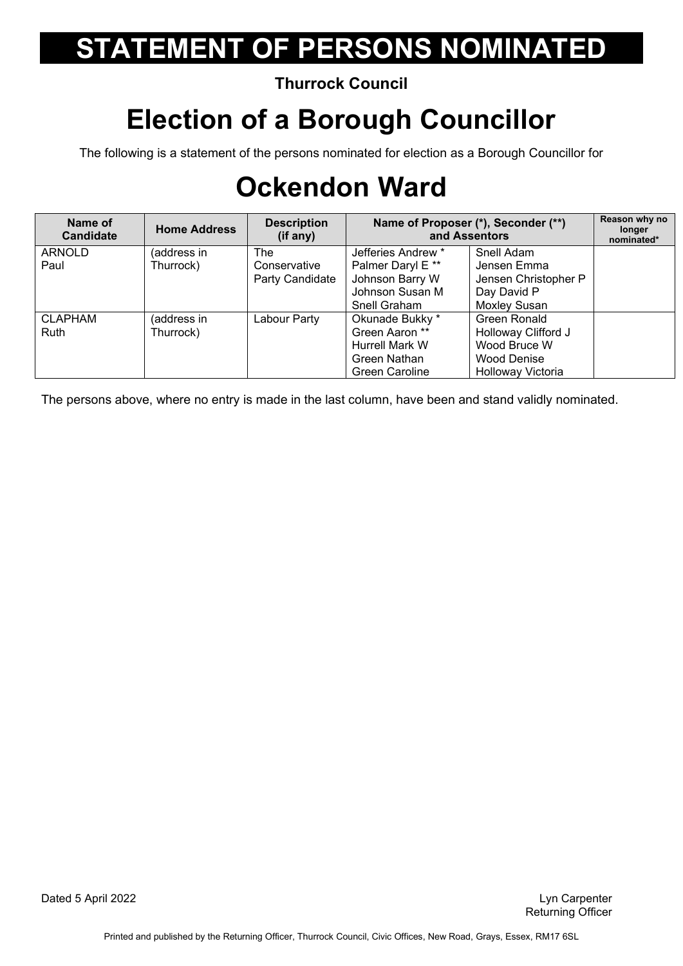#### **Thurrock Council**

### **Election of a Borough Councillor**

The following is a statement of the persons nominated for election as a Borough Councillor for

## **Ockendon Ward**

| Name of<br><b>Candidate</b> | <b>Home Address</b> | <b>Description</b><br>(if any) | Name of Proposer (*), Seconder (**)<br>and Assentors |                      | Reason why no<br>longer<br>nominated* |
|-----------------------------|---------------------|--------------------------------|------------------------------------------------------|----------------------|---------------------------------------|
| ARNOLD                      | (address in         | The                            | Jefferies Andrew *                                   | Snell Adam           |                                       |
| Paul                        | Thurrock)           | Conservative                   | Palmer Daryl E **                                    | Jensen Emma          |                                       |
|                             |                     | Party Candidate                | Johnson Barry W                                      | Jensen Christopher P |                                       |
|                             |                     |                                | Johnson Susan M                                      | Day David P          |                                       |
|                             |                     |                                | Snell Graham                                         | Moxley Susan         |                                       |
| <b>CLAPHAM</b>              | (address in         | Labour Party                   | Okunade Bukky *                                      | Green Ronald         |                                       |
| <b>Ruth</b>                 | Thurrock)           |                                | Green Aaron **                                       | Holloway Clifford J  |                                       |
|                             |                     |                                | Hurrell Mark W                                       | Wood Bruce W         |                                       |
|                             |                     |                                | Green Nathan                                         | Wood Denise          |                                       |
|                             |                     |                                | <b>Green Caroline</b>                                | Holloway Victoria    |                                       |

The persons above, where no entry is made in the last column, have been and stand validly nominated.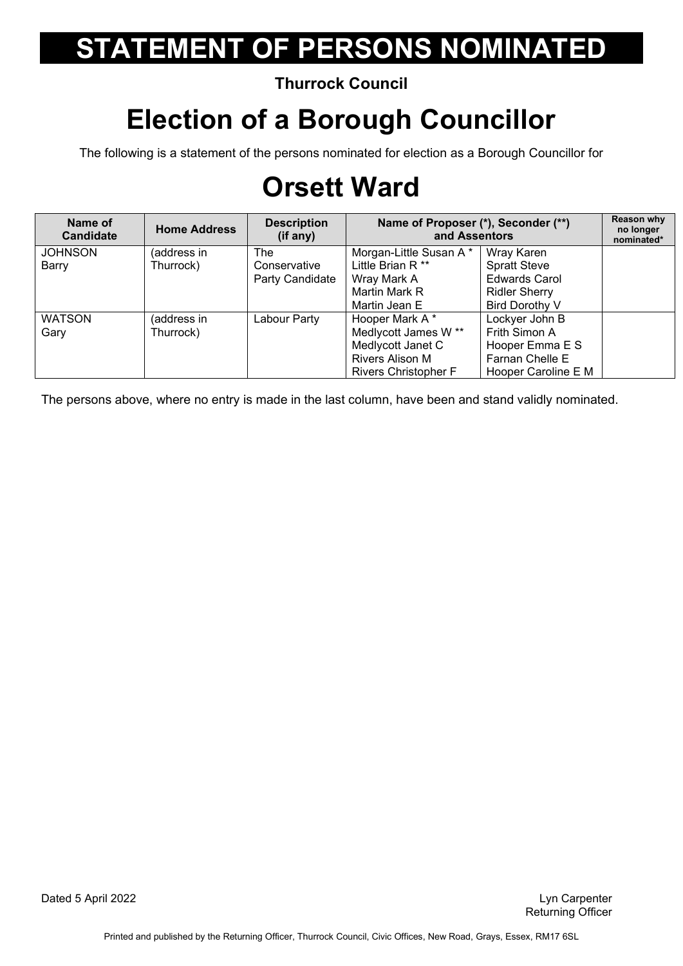**Thurrock Council** 

### **Election of a Borough Councillor**

The following is a statement of the persons nominated for election as a Borough Councillor for

## **Orsett Ward**

| Name of<br><b>Candidate</b> | <b>Home Address</b> | <b>Description</b><br>(if any) | Name of Proposer (*), Seconder (**)<br>and Assentors |                      | Reason why<br>no longer<br>nominated* |
|-----------------------------|---------------------|--------------------------------|------------------------------------------------------|----------------------|---------------------------------------|
| <b>JOHNSON</b>              | (address in         | The                            | Morgan-Little Susan A *                              | Wray Karen           |                                       |
| Barry                       | Thurrock)           | Conservative                   | Little Brian R <sup>**</sup>                         | <b>Spratt Steve</b>  |                                       |
|                             |                     | Party Candidate                | Wray Mark A                                          | <b>Edwards Carol</b> |                                       |
|                             |                     |                                | Martin Mark R                                        | <b>Ridler Sherry</b> |                                       |
|                             |                     |                                | Martin Jean E                                        | Bird Dorothy V       |                                       |
| <b>WATSON</b>               | (address in         | Labour Party                   | Hooper Mark A*                                       | Lockyer John B       |                                       |
| Gary                        | Thurrock)           |                                | Medlycott James W **                                 | Frith Simon A        |                                       |
|                             |                     |                                | Medlycott Janet C                                    | Hooper Emma E S      |                                       |
|                             |                     |                                | Rivers Alison M                                      | Farnan Chelle E      |                                       |
|                             |                     |                                | <b>Rivers Christopher F</b>                          | Hooper Caroline E M  |                                       |

The persons above, where no entry is made in the last column, have been and stand validly nominated.

Dated 5 April 2022 Lyn Carpenter

Returning Officer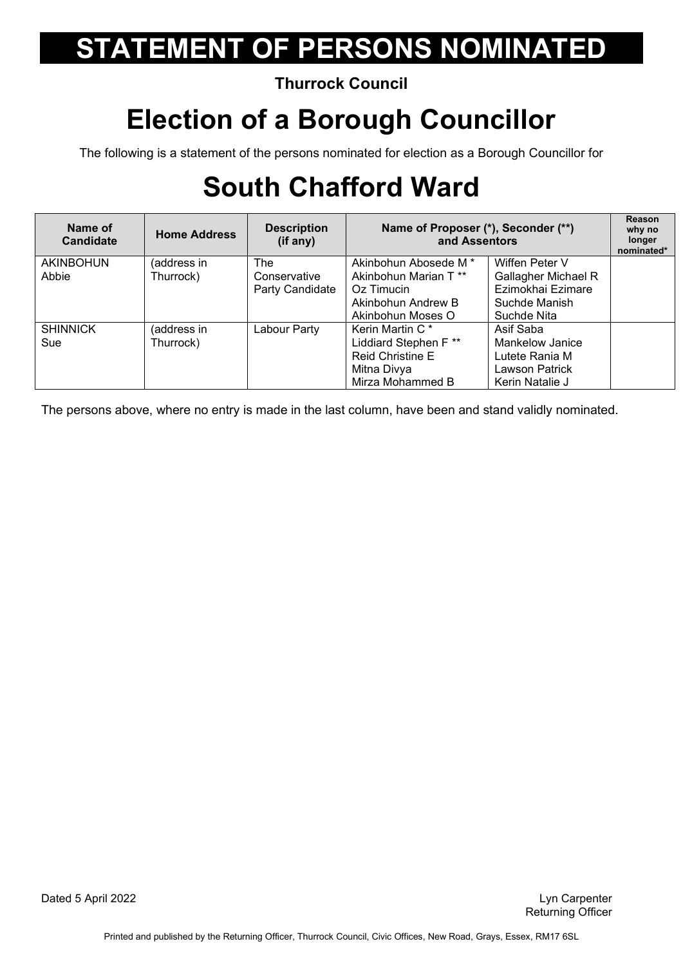#### **Thurrock Council**

### **Election of a Borough Councillor**

The following is a statement of the persons nominated for election as a Borough Councillor for

## **South Chafford Ward**

| Name of<br><b>Candidate</b> | <b>Home Address</b> | <b>Description</b><br>(i <sup>f</sup> any) | Name of Proposer (*), Seconder (**)<br>and Assentors |                            | Reason<br>why no<br>longer<br>nominated* |
|-----------------------------|---------------------|--------------------------------------------|------------------------------------------------------|----------------------------|------------------------------------------|
| <b>AKINBOHUN</b>            | (address in         | <b>The</b>                                 | Akinbohun Abosede M <sup>*</sup>                     | Wiffen Peter V             |                                          |
| Abbie                       | Thurrock)           | Conservative                               | Akinbohun Marian T <sup>**</sup>                     | <b>Gallagher Michael R</b> |                                          |
|                             |                     | Party Candidate                            | Oz Timucin                                           | Ezimokhai Ezimare          |                                          |
|                             |                     |                                            | Akinbohun Andrew B                                   | Suchde Manish              |                                          |
|                             |                     |                                            | Akinbohun Moses O                                    | Suchde Nita                |                                          |
| <b>SHINNICK</b>             | (address in         | Labour Party                               | Kerin Martin C <sup>*</sup>                          | Asif Saba                  |                                          |
| Sue                         | Thurrock)           |                                            | Liddiard Stephen F **                                | Mankelow Janice            |                                          |
|                             |                     |                                            | <b>Reid Christine E</b>                              | Lutete Rania M             |                                          |
|                             |                     |                                            | Mitna Divya                                          | <b>Lawson Patrick</b>      |                                          |
|                             |                     |                                            | Mirza Mohammed B                                     | Kerin Natalie J            |                                          |

The persons above, where no entry is made in the last column, have been and stand validly nominated.

Dated 5 April 2022 Lyn Carpenter

Returning Officer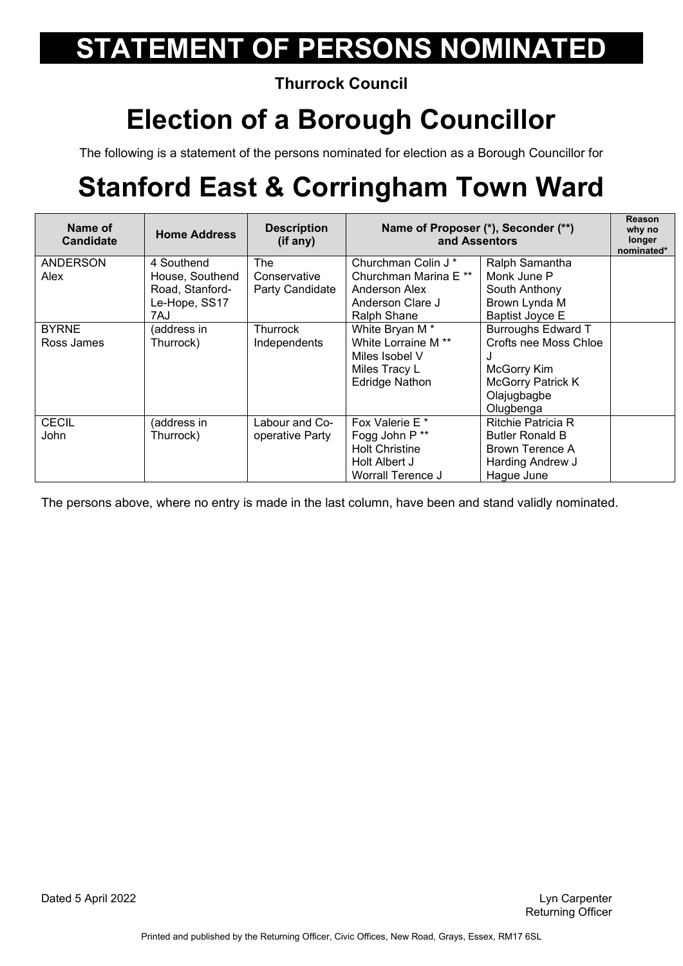**Thurrock Council** 

#### **Election of a Borough Councillor**

The following is a statement of the persons nominated for election as a Borough Councillor for

## **Stanford East & Corringham Town Ward**

| Name of<br><b>Candidate</b> | <b>Home Address</b>                                                      | <b>Description</b><br>(if any)         | Name of Proposer (*), Seconder (**)<br>and Assentors                                                                     |                                                                                                                                | Reason<br>why no<br>longer<br>nominated* |
|-----------------------------|--------------------------------------------------------------------------|----------------------------------------|--------------------------------------------------------------------------------------------------------------------------|--------------------------------------------------------------------------------------------------------------------------------|------------------------------------------|
| <b>ANDERSON</b><br>Alex     | 4 Southend<br>House, Southend<br>Road, Stanford-<br>Le-Hope, SS17<br>7AJ | The<br>Conservative<br>Party Candidate | Churchman Colin J <sup>*</sup><br>Churchman Marina E **<br>Anderson Alex<br>Anderson Clare J<br>Ralph Shane              | Ralph Samantha<br>Monk June P<br>South Anthony<br>Brown Lynda M<br><b>Baptist Joyce E</b>                                      |                                          |
| <b>BYRNE</b><br>Ross James  | (address in<br>Thurrock)                                                 | <b>Thurrock</b><br>Independents        | White Bryan M <sup>*</sup><br>White Lorraine M <sup>**</sup><br>Miles Isobel V<br>Miles Tracy L<br><b>Edridge Nathon</b> | <b>Burroughs Edward T</b><br>Crofts nee Moss Chloe<br>J<br>McGorry Kim<br><b>McGorry Patrick K</b><br>Olajugbagbe<br>Olugbenga |                                          |
| <b>CECIL</b><br><b>John</b> | (address in<br>Thurrock)                                                 | Labour and Co-<br>operative Party      | Fox Valerie E <sup>*</sup><br>Fogg John P**<br><b>Holt Christine</b><br>Holt Albert J<br>Worrall Terence J               | <b>Ritchie Patricia R</b><br><b>Butler Ronald B</b><br>Brown Terence A<br>Harding Andrew J<br>Hague June                       |                                          |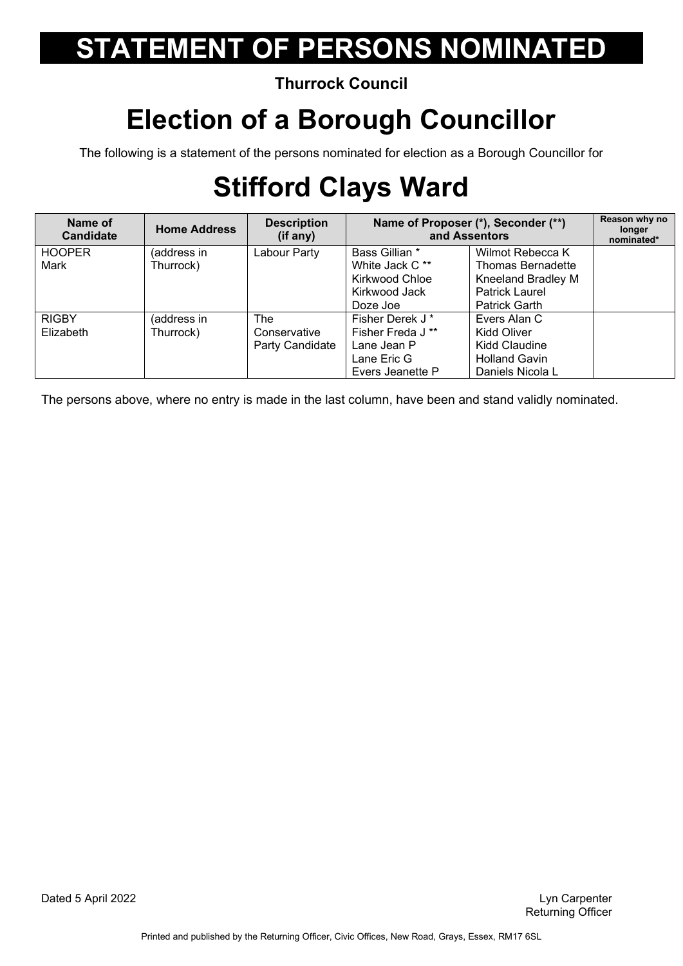#### **Thurrock Council**

### **Election of a Borough Councillor**

The following is a statement of the persons nominated for election as a Borough Councillor for

## **Stifford Clays Ward**

| Name of<br><b>Candidate</b> | <b>Home Address</b> | <b>Description</b><br>(if any) | Name of Proposer (*), Seconder (**)<br>and Assentors |                       | Reason why no<br>longer<br>nominated* |
|-----------------------------|---------------------|--------------------------------|------------------------------------------------------|-----------------------|---------------------------------------|
| <b>HOOPER</b>               | (address in         | Labour Party                   | Bass Gillian *                                       | Wilmot Rebecca K      |                                       |
| Mark                        | Thurrock)           |                                | White Jack C**                                       | Thomas Bernadette     |                                       |
|                             |                     |                                | Kirkwood Chloe                                       | Kneeland Bradley M    |                                       |
|                             |                     |                                | Kirkwood Jack                                        | <b>Patrick Laurel</b> |                                       |
|                             |                     |                                | Doze Joe                                             | <b>Patrick Garth</b>  |                                       |
| <b>RIGBY</b>                | (address in         | The                            | Fisher Derek J*                                      | Evers Alan C          |                                       |
| Elizabeth                   | Thurrock)           | Conservative                   | Fisher Freda J <sup>**</sup>                         | Kidd Oliver           |                                       |
|                             |                     | Party Candidate                | Lane Jean P                                          | Kidd Claudine         |                                       |
|                             |                     |                                | Lane Eric G                                          | <b>Holland Gavin</b>  |                                       |
|                             |                     |                                | Evers Jeanette P                                     | Daniels Nicola L      |                                       |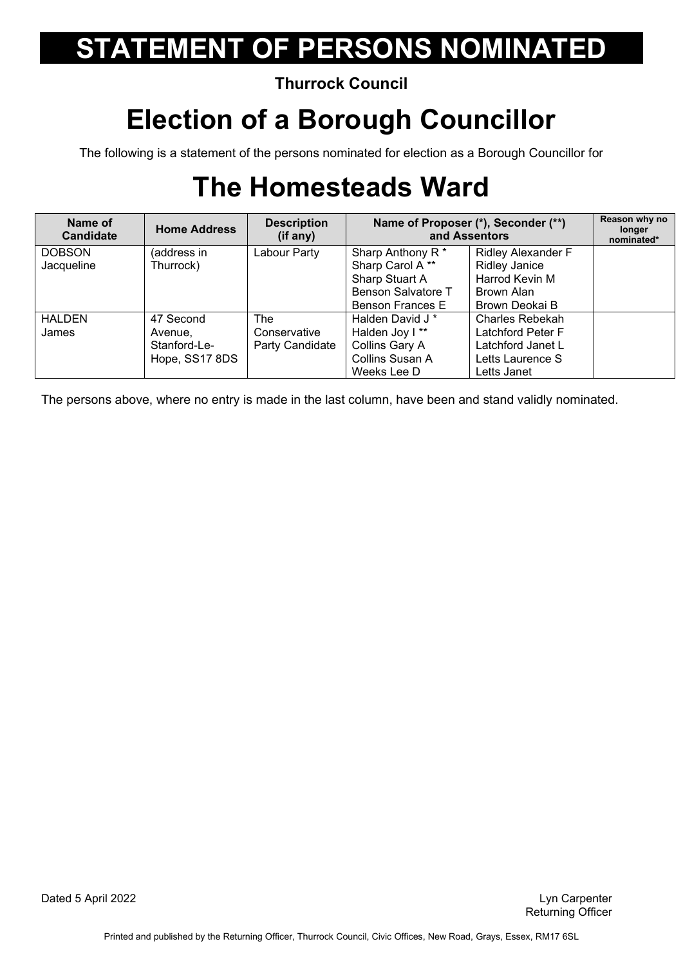#### **Thurrock Council**

### **Election of a Borough Councillor**

The following is a statement of the persons nominated for election as a Borough Councillor for

## **The Homesteads Ward**

| Name of<br><b>Candidate</b> | <b>Home Address</b> | <b>Description</b><br>(if any) | Name of Proposer (*), Seconder (**)<br>and Assentors |                           | Reason why no<br>longer<br>nominated* |
|-----------------------------|---------------------|--------------------------------|------------------------------------------------------|---------------------------|---------------------------------------|
| <b>DOBSON</b>               | (address in         | Labour Party                   | Sharp Anthony R <sup>*</sup>                         | <b>Ridley Alexander F</b> |                                       |
| Jacqueline                  | Thurrock)           |                                | Sharp Carol A**                                      | <b>Ridley Janice</b>      |                                       |
|                             |                     |                                | Sharp Stuart A                                       | Harrod Kevin M            |                                       |
|                             |                     |                                | Benson Salvatore T                                   | Brown Alan                |                                       |
|                             |                     |                                | Benson Frances E                                     | Brown Deokai B            |                                       |
| <b>HALDEN</b>               | 47 Second           | The                            | Halden David J <sup>*</sup>                          | Charles Rebekah           |                                       |
| James                       | Avenue,             | Conservative                   | Halden Joy I**                                       | Latchford Peter F         |                                       |
|                             | Stanford-Le-        | Party Candidate                | Collins Gary A                                       | Latchford Janet L         |                                       |
|                             | Hope, SS17 8DS      |                                | Collins Susan A                                      | Letts Laurence S          |                                       |
|                             |                     |                                | Weeks Lee D                                          | Letts Janet               |                                       |

The persons above, where no entry is made in the last column, have been and stand validly nominated.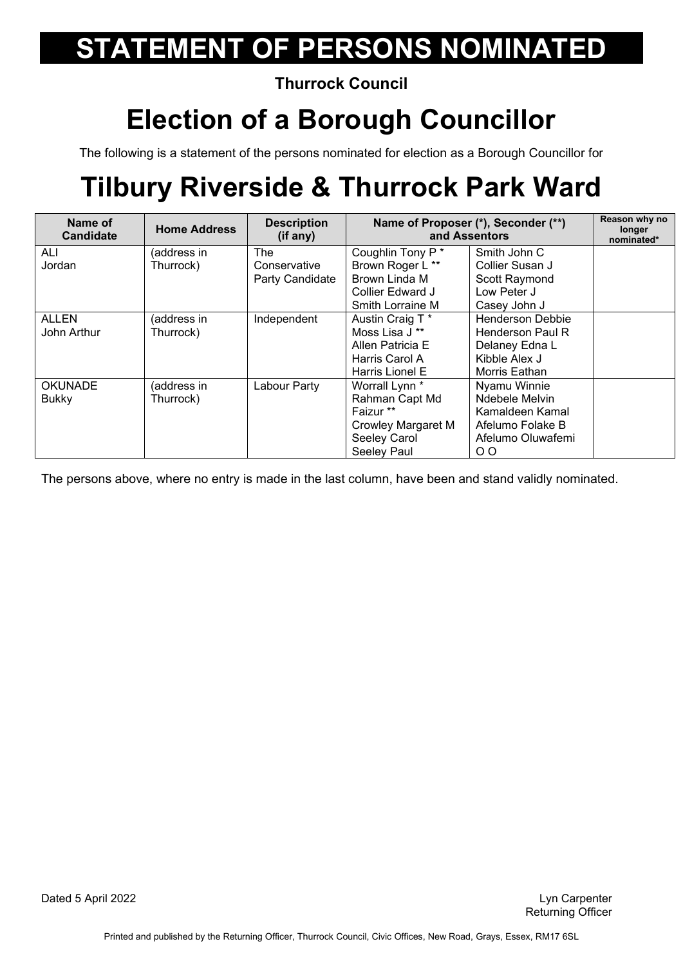**Thurrock Council** 

#### **Election of a Borough Councillor**

The following is a statement of the persons nominated for election as a Borough Councillor for

## **Tilbury Riverside & Thurrock Park Ward**

| Name of<br><b>Candidate</b> | <b>Home Address</b> | <b>Description</b><br>(if any) | Name of Proposer (*), Seconder (**)<br>and Assentors |                         | Reason why no<br>longer<br>nominated* |
|-----------------------------|---------------------|--------------------------------|------------------------------------------------------|-------------------------|---------------------------------------|
| ALI                         | (address in         | The                            | Coughlin Tony P*                                     | Smith John C            |                                       |
| Jordan                      | Thurrock)           | Conservative                   | Brown Roger L **                                     | Collier Susan J         |                                       |
|                             |                     | Party Candidate                | Brown Linda M                                        | Scott Raymond           |                                       |
|                             |                     |                                | Collier Edward J                                     | Low Peter J             |                                       |
|                             |                     |                                | Smith Lorraine M                                     | Casey John J            |                                       |
| <b>ALLEN</b>                | (address in         | Independent                    | Austin Craig T *                                     | <b>Henderson Debbie</b> |                                       |
| John Arthur                 | Thurrock)           |                                | Moss Lisa J **                                       | <b>Henderson Paul R</b> |                                       |
|                             |                     |                                | Allen Patricia E                                     | Delaney Edna L          |                                       |
|                             |                     |                                | Harris Carol A                                       | Kibble Alex J           |                                       |
|                             |                     |                                | Harris Lionel E                                      | Morris Eathan           |                                       |
| <b>OKUNADE</b>              | (address in         | Labour Party                   | Worrall Lynn <sup>*</sup>                            | Nyamu Winnie            |                                       |
| <b>Bukky</b>                | Thurrock)           |                                | Rahman Capt Md                                       | Ndebele Melvin          |                                       |
|                             |                     |                                | Faizur **                                            | Kamaldeen Kamal         |                                       |
|                             |                     |                                | <b>Crowley Margaret M</b>                            | Afelumo Folake B        |                                       |
|                             |                     |                                | Seeley Carol                                         | Afelumo Oluwafemi       |                                       |
|                             |                     |                                | Seeley Paul                                          | $\overline{O}$          |                                       |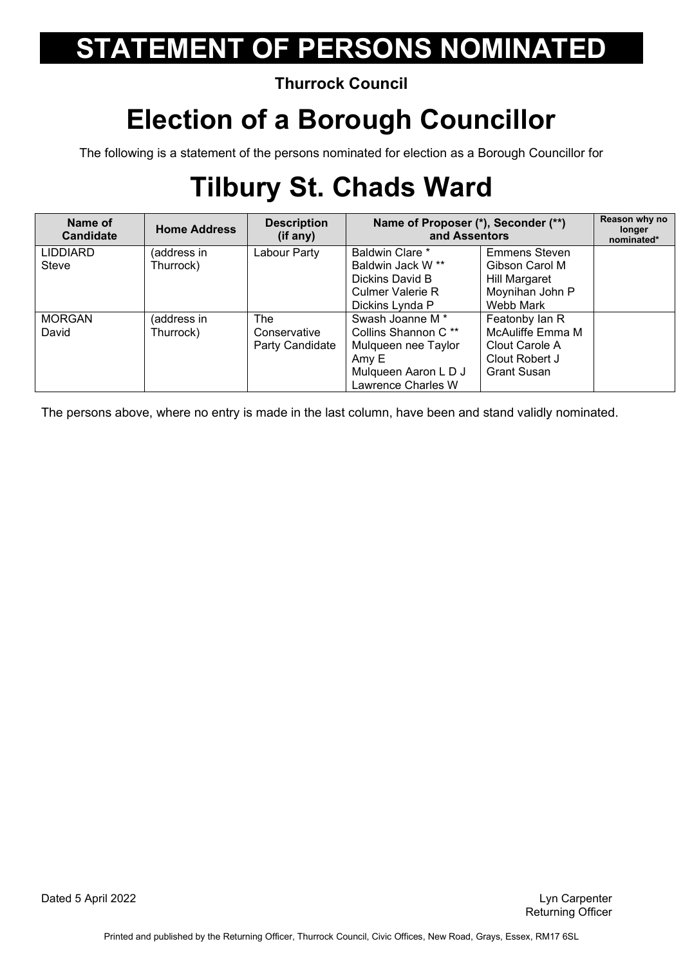#### **Thurrock Council**

#### **Election of a Borough Councillor**

The following is a statement of the persons nominated for election as a Borough Councillor for

## **Tilbury St. Chads Ward**

| Name of<br><b>Candidate</b> | <b>Home Address</b> | <b>Description</b><br>(if any) | Name of Proposer (*), Seconder (**)<br>and Assentors |                      | Reason why no<br>longer<br>nominated* |
|-----------------------------|---------------------|--------------------------------|------------------------------------------------------|----------------------|---------------------------------------|
| <b>LIDDIARD</b>             | (address in         | Labour Party                   | <b>Baldwin Clare *</b>                               | <b>Emmens Steven</b> |                                       |
| Steve                       | Thurrock)           |                                | Baldwin Jack W **                                    | Gibson Carol M       |                                       |
|                             |                     |                                | Dickins David B                                      | <b>Hill Margaret</b> |                                       |
|                             |                     |                                | <b>Culmer Valerie R</b>                              | Moynihan John P      |                                       |
|                             |                     |                                | Dickins Lynda P                                      | Webb Mark            |                                       |
| <b>MORGAN</b>               | (address in         | <b>The</b>                     | Swash Joanne M <sup>*</sup>                          | Featonby Ian R       |                                       |
| David                       | Thurrock)           | Conservative                   | Collins Shannon C <sup>**</sup>                      | McAuliffe Emma M     |                                       |
|                             |                     | Party Candidate                | Mulqueen nee Taylor                                  | Clout Carole A       |                                       |
|                             |                     |                                | Amy E                                                | Clout Robert J       |                                       |
|                             |                     |                                | Mulqueen Aaron L D J                                 | <b>Grant Susan</b>   |                                       |
|                             |                     |                                | Lawrence Charles W                                   |                      |                                       |